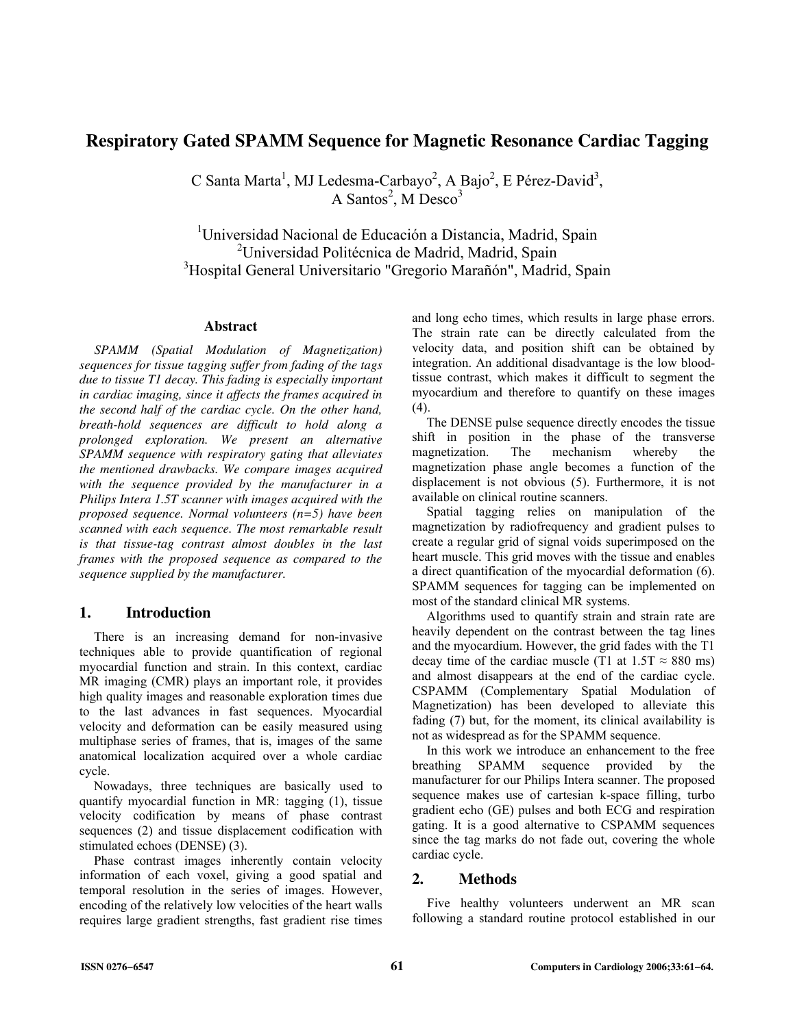# **Respiratory Gated SPAMM Sequence for Magnetic Resonance Cardiac Tagging**

C Santa Marta<sup>1</sup>, MJ Ledesma-Carbayo<sup>2</sup>, A Bajo<sup>2</sup>, E Pérez-David<sup>3</sup>, A Santos<sup>2</sup>, M Desco<sup>3</sup>

<sup>1</sup>Universidad Nacional de Educación a Distancia, Madrid, Spain <sup>2</sup>Universidad Politécnica de Madrid, Madrid, Spain <sup>3</sup>Hospital General Universitario "Gregorio Marañón", Madrid, Spain

### **Abstract**

*SPAMM (Spatial Modulation of Magnetization) sequences for tissue tagging suffer from fading of the tags due to tissue T1 decay. This fading is especially important in cardiac imaging, since it affects the frames acquired in the second half of the cardiac cycle. On the other hand, breath-hold sequences are difficult to hold along a prolonged exploration. We present an alternative SPAMM sequence with respiratory gating that alleviates the mentioned drawbacks. We compare images acquired with the sequence provided by the manufacturer in a Philips Intera 1.5T scanner with images acquired with the proposed sequence. Normal volunteers (n=5) have been scanned with each sequence. The most remarkable result is that tissue-tag contrast almost doubles in the last frames with the proposed sequence as compared to the sequence supplied by the manufacturer.* 

# **1. Introduction**

There is an increasing demand for non-invasive techniques able to provide quantification of regional myocardial function and strain. In this context, cardiac MR imaging (CMR) plays an important role, it provides high quality images and reasonable exploration times due to the last advances in fast sequences. Myocardial velocity and deformation can be easily measured using multiphase series of frames, that is, images of the same anatomical localization acquired over a whole cardiac cycle.

Nowadays, three techniques are basically used to quantify myocardial function in MR: tagging (1), tissue velocity codification by means of phase contrast sequences (2) and tissue displacement codification with stimulated echoes (DENSE) (3).

Phase contrast images inherently contain velocity information of each voxel, giving a good spatial and temporal resolution in the series of images. However, encoding of the relatively low velocities of the heart walls requires large gradient strengths, fast gradient rise times and long echo times, which results in large phase errors. The strain rate can be directly calculated from the velocity data, and position shift can be obtained by integration. An additional disadvantage is the low bloodtissue contrast, which makes it difficult to segment the myocardium and therefore to quantify on these images (4).

The DENSE pulse sequence directly encodes the tissue shift in position in the phase of the transverse magnetization. The mechanism whereby the magnetization phase angle becomes a function of the displacement is not obvious (5). Furthermore, it is not available on clinical routine scanners.

Spatial tagging relies on manipulation of the magnetization by radiofrequency and gradient pulses to create a regular grid of signal voids superimposed on the heart muscle. This grid moves with the tissue and enables a direct quantification of the myocardial deformation (6). SPAMM sequences for tagging can be implemented on most of the standard clinical MR systems.

Algorithms used to quantify strain and strain rate are heavily dependent on the contrast between the tag lines and the myocardium. However, the grid fades with the T1 decay time of the cardiac muscle (T1 at  $1.5T \approx 880$  ms) and almost disappears at the end of the cardiac cycle. CSPAMM (Complementary Spatial Modulation of Magnetization) has been developed to alleviate this fading (7) but, for the moment, its clinical availability is not as widespread as for the SPAMM sequence.

In this work we introduce an enhancement to the free breathing SPAMM sequence provided by the manufacturer for our Philips Intera scanner. The proposed sequence makes use of cartesian k-space filling, turbo gradient echo (GE) pulses and both ECG and respiration gating. It is a good alternative to CSPAMM sequences since the tag marks do not fade out, covering the whole cardiac cycle.

# **2. Methods**

Five healthy volunteers underwent an MR scan following a standard routine protocol established in our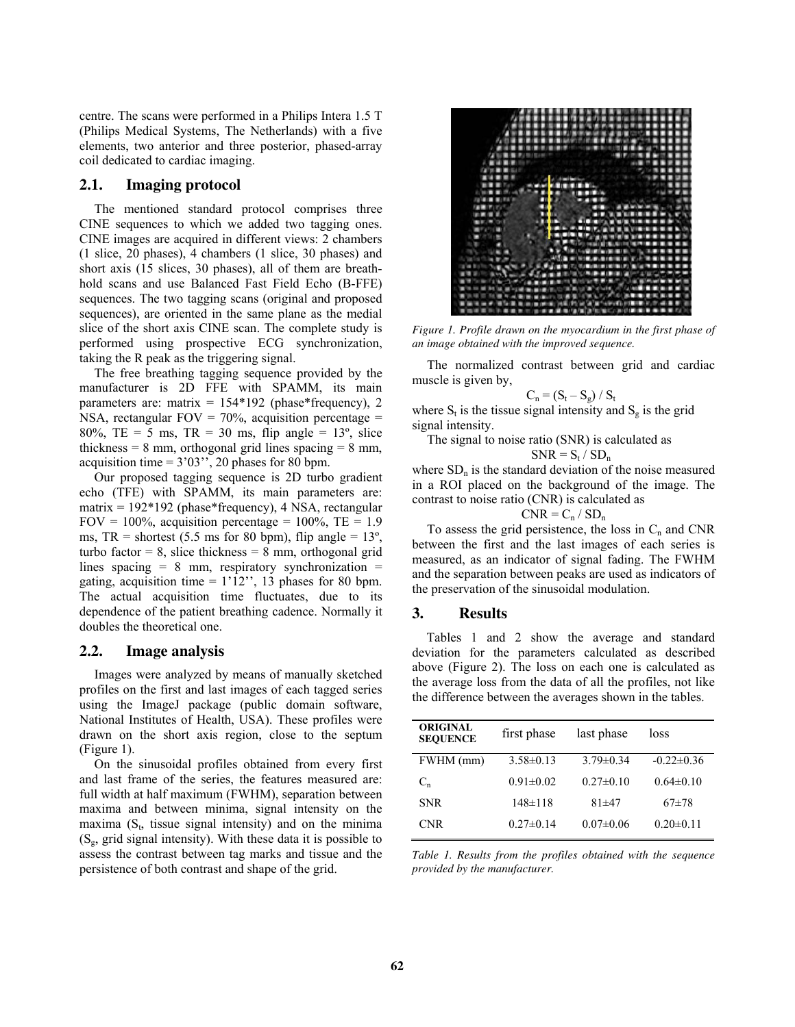centre. The scans were performed in a Philips Intera 1.5 T (Philips Medical Systems, The Netherlands) with a five elements, two anterior and three posterior, phased-array coil dedicated to cardiac imaging.

### **2.1. Imaging protocol**

The mentioned standard protocol comprises three CINE sequences to which we added two tagging ones. CINE images are acquired in different views: 2 chambers (1 slice, 20 phases), 4 chambers (1 slice, 30 phases) and short axis (15 slices, 30 phases), all of them are breathhold scans and use Balanced Fast Field Echo (B-FFE) sequences. The two tagging scans (original and proposed sequences), are oriented in the same plane as the medial slice of the short axis CINE scan. The complete study is performed using prospective ECG synchronization, taking the R peak as the triggering signal.

The free breathing tagging sequence provided by the manufacturer is 2D FFE with SPAMM, its main parameters are: matrix =  $154*192$  (phase\*frequency), 2 NSA, rectangular FOV =  $70\%$ , acquisition percentage = 80%, TE = 5 ms, TR = 30 ms, flip angle =  $13^{\circ}$ , slice thickness  $= 8$  mm, orthogonal grid lines spacing  $= 8$  mm, acquisition time =  $3'03''$ , 20 phases for 80 bpm.

Our proposed tagging sequence is 2D turbo gradient echo (TFE) with SPAMM, its main parameters are: matrix = 192\*192 (phase\*frequency), 4 NSA, rectangular FOV = 100%, acquisition percentage =  $100\%$ , TE = 1.9 ms,  $TR = shortest (5.5 \text{ ms} for 80 \text{ bpm})$ , flip angle = 13°, turbo factor = 8, slice thickness = 8 mm, orthogonal grid lines spacing  $= 8$  mm, respiratory synchronization  $=$ gating, acquisition time =  $1'12''$ , 13 phases for 80 bpm. The actual acquisition time fluctuates, due to its dependence of the patient breathing cadence. Normally it doubles the theoretical one.

#### **2.2. Image analysis**

Images were analyzed by means of manually sketched profiles on the first and last images of each tagged series using the ImageJ package (public domain software, National Institutes of Health, USA). These profiles were drawn on the short axis region, close to the septum (Figure 1).

On the sinusoidal profiles obtained from every first and last frame of the series, the features measured are: full width at half maximum (FWHM), separation between maxima and between minima, signal intensity on the maxima  $(S_t,$  tissue signal intensity) and on the minima  $(S_{\epsilon}, \text{grid signal intensity})$ . With these data it is possible to assess the contrast between tag marks and tissue and the persistence of both contrast and shape of the grid.



*Figure 1. Profile drawn on the myocardium in the first phase of an image obtained with the improved sequence.* 

The normalized contrast between grid and cardiac muscle is given by,

$$
C_n = (S_t - S_g) / S_t
$$

where  $S_t$  is the tissue signal intensity and  $S_g$  is the grid signal intensity.

The signal to noise ratio (SNR) is calculated as  $SNR = S_t / SD_n$ 

where  $SD<sub>n</sub>$  is the standard deviation of the noise measured in a ROI placed on the background of the image. The contrast to noise ratio (CNR) is calculated as

$$
CNR = C_n / SD_n
$$

To assess the grid persistence, the loss in  $C_n$  and CNR between the first and the last images of each series is measured, as an indicator of signal fading. The FWHM and the separation between peaks are used as indicators of the preservation of the sinusoidal modulation.

### **3. Results**

Tables 1 and 2 show the average and standard deviation for the parameters calculated as described above (Figure 2). The loss on each one is calculated as the average loss from the data of all the profiles, not like the difference between the averages shown in the tables.

| first phase     | last phase      | loss            |
|-----------------|-----------------|-----------------|
| $3.58\pm0.13$   | $3.79 \pm 0.34$ | $-0.22\pm0.36$  |
| $0.91 \pm 0.02$ | $0.27 \pm 0.10$ | $0.64\pm0.10$   |
| $148 \pm 118$   | $81 + 47$       | $67+78$         |
| $0.27 \pm 0.14$ | $0.07 \pm 0.06$ | $0.20 \pm 0.11$ |
|                 |                 |                 |

*Table 1. Results from the profiles obtained with the sequence provided by the manufacturer.*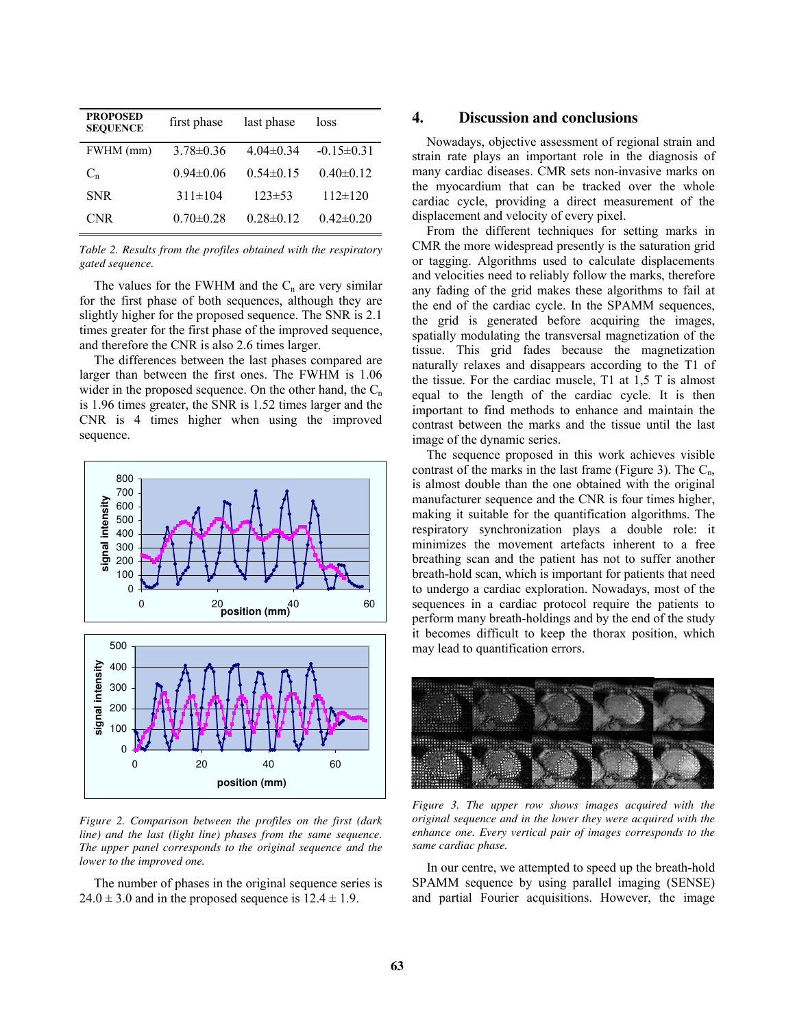| <b>PROPOSED</b><br><b>SEQUENCE</b> | first phase     | last phase      | loss            |
|------------------------------------|-----------------|-----------------|-----------------|
| FWHM (mm)                          | $3.78 \pm 0.36$ | $4.04\pm0.34$   | $-0.15\pm0.31$  |
| $C_{n}$                            | $0.94\pm 0.06$  | $0.54\pm0.15$   | $0.40 \pm 0.12$ |
| <b>SNR</b>                         | $311\pm104$     | $123 \pm 53$    | $112 \pm 120$   |
| CNR                                | $0.70 \pm 0.28$ | $0.28 \pm 0.12$ | $0.42\pm0.20$   |

*Table 2. Results from the profiles obtained with the respiratory gated sequence.* 

The values for the FWHM and the  $C_n$  are very similar for the first phase of both sequences, although they are slightly higher for the proposed sequence. The SNR is 2.1 times greater for the first phase of the improved sequence, and therefore the CNR is also 2.6 times larger.

The differences between the last phases compared are larger than between the first ones. The FWHM is 1.06 wider in the proposed sequence. On the other hand, the  $C_n$ is 1.96 times greater, the SNR is 1.52 times larger and the CNR is 4 times higher when using the improved sequence.



*Figure 2. Comparison between the profiles on the first (dark line) and the last (light line) phases from the same sequence. The upper panel corresponds to the original sequence and the lower to the improved one.* 

The number of phases in the original sequence series is  $24.0 \pm 3.0$  and in the proposed sequence is  $12.4 \pm 1.9$ .

# **4. Discussion and conclusions**

Nowadays, objective assessment of regional strain and strain rate plays an important role in the diagnosis of many cardiac diseases. CMR sets non-invasive marks on the myocardium that can be tracked over the whole cardiac cycle, providing a direct measurement of the displacement and velocity of every pixel.

From the different techniques for setting marks in CMR the more widespread presently is the saturation grid or tagging. Algorithms used to calculate displacements and velocities need to reliably follow the marks, therefore any fading of the grid makes these algorithms to fail at the end of the cardiac cycle. In the SPAMM sequences, the grid is generated before acquiring the images, spatially modulating the transversal magnetization of the tissue. This grid fades because the magnetization naturally relaxes and disappears according to the T1 of the tissue. For the cardiac muscle, T1 at 1,5 T is almost equal to the length of the cardiac cycle. It is then important to find methods to enhance and maintain the contrast between the marks and the tissue until the last image of the dynamic series.

The sequence proposed in this work achieves visible contrast of the marks in the last frame (Figure 3). The  $C_n$ , is almost double than the one obtained with the original manufacturer sequence and the CNR is four times higher, making it suitable for the quantification algorithms. The respiratory synchronization plays a double role: it minimizes the movement artefacts inherent to a free breathing scan and the patient has not to suffer another breath-hold scan, which is important for patients that need to undergo a cardiac exploration. Nowadays, most of the sequences in a cardiac protocol require the patients to perform many breath-holdings and by the end of the study it becomes difficult to keep the thorax position, which may lead to quantification errors.



*Figure 3. The upper row shows images acquired with the original sequence and in the lower they were acquired with the enhance one. Every vertical pair of images corresponds to the same cardiac phase.* 

In our centre, we attempted to speed up the breath-hold SPAMM sequence by using parallel imaging (SENSE) and partial Fourier acquisitions. However, the image